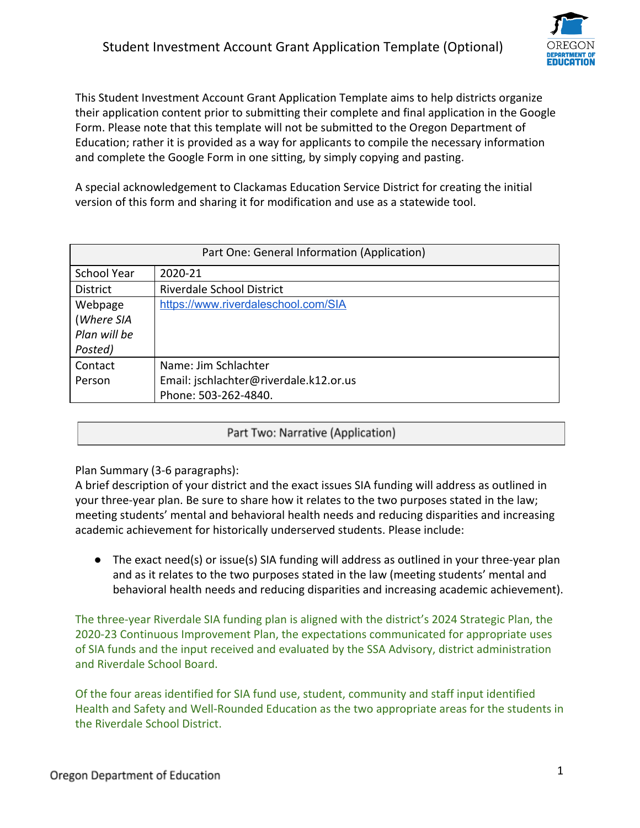

This Student Investment Account Grant Application Template aims to help districts organize their application content prior to submitting their complete and final application in the Google Form. Please note that this template will not be submitted to the Oregon Department of Education; rather it is provided as a way for applicants to compile the necessary information and complete the Google Form in one sitting, by simply copying and pasting.

A special acknowledgement to Clackamas Education Service District for creating the initial version of this form and sharing it for modification and use as a statewide tool.

| Part One: General Information (Application) |                                        |
|---------------------------------------------|----------------------------------------|
| <b>School Year</b>                          | 2020-21                                |
| <b>District</b>                             | Riverdale School District              |
| Webpage                                     | https://www.riverdaleschool.com/SIA    |
| (Where SIA                                  |                                        |
| Plan will be                                |                                        |
| Posted)                                     |                                        |
| Contact                                     | Name: Jim Schlachter                   |
| Person                                      | Email: jschlachter@riverdale.k12.or.us |
|                                             | Phone: 503-262-4840.                   |

## Part Two: Narrative (Application)

Plan Summary (3-6 paragraphs):

A brief description of your district and the exact issues SIA funding will address as outlined in your three-year plan. Be sure to share how it relates to the two purposes stated in the law; meeting students' mental and behavioral health needs and reducing disparities and increasing academic achievement for historically underserved students. Please include:

● The exact need(s) or issue(s) SIA funding will address as outlined in your three-year plan and as it relates to the two purposes stated in the law (meeting students' mental and behavioral health needs and reducing disparities and increasing academic achievement).

The three-year Riverdale SIA funding plan is aligned with the district's 2024 Strategic Plan, the 2020-23 Continuous Improvement Plan, the expectations communicated for appropriate uses of SIA funds and the input received and evaluated by the SSA Advisory, district administration and Riverdale School Board.

Of the four areas identified for SIA fund use, student, community and staff input identified Health and Safety and Well-Rounded Education as the two appropriate areas for the students in the Riverdale School District.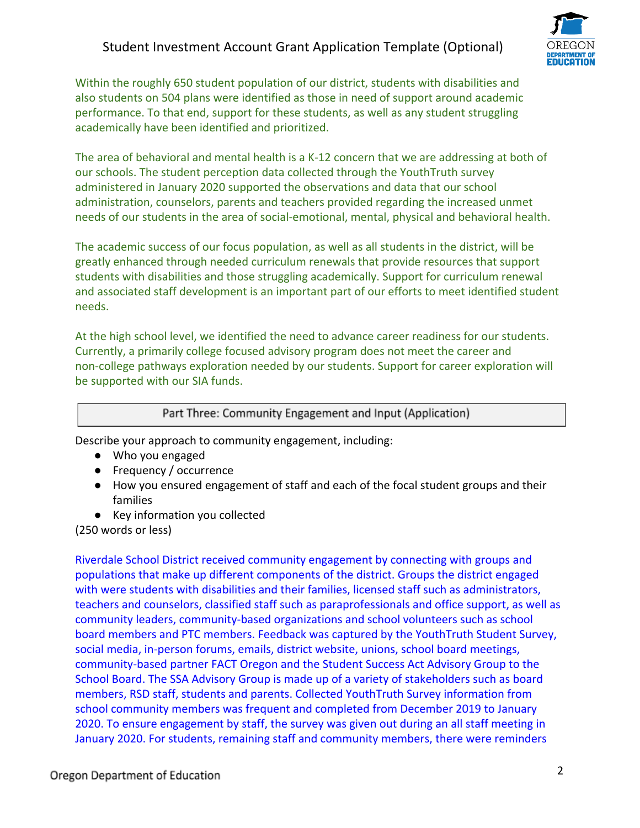

Within the roughly 650 student population of our district, students with disabilities and also students on 504 plans were identified as those in need of support around academic performance. To that end, support for these students, as well as any student struggling academically have been identified and prioritized.

The area of behavioral and mental health is a K-12 concern that we are addressing at both of our schools. The student perception data collected through the YouthTruth survey administered in January 2020 supported the observations and data that our school administration, counselors, parents and teachers provided regarding the increased unmet needs of our students in the area of social-emotional, mental, physical and behavioral health.

The academic success of our focus population, as well as all students in the district, will be greatly enhanced through needed curriculum renewals that provide resources that support students with disabilities and those struggling academically. Support for curriculum renewal and associated staff development is an important part of our efforts to meet identified student needs.

At the high school level, we identified the need to advance career readiness for our students. Currently, a primarily college focused advisory program does not meet the career and non-college pathways exploration needed by our students. Support for career exploration will be supported with our SIA funds.

## Part Three: Community Engagement and Input (Application)

Describe your approach to community engagement, including:

- Who you engaged
- Frequency / occurrence
- How you ensured engagement of staff and each of the focal student groups and their families
- Key information you collected

(250 words or less)

Riverdale School District received community engagement by connecting with groups and populations that make up different components of the district. Groups the district engaged with were students with disabilities and their families, licensed staff such as administrators, teachers and counselors, classified staff such as paraprofessionals and office support, as well as community leaders, community-based organizations and school volunteers such as school board members and PTC members. Feedback was captured by the YouthTruth Student Survey, social media, in-person forums, emails, district website, unions, school board meetings, community-based partner FACT Oregon and the Student Success Act Advisory Group to the School Board. The SSA Advisory Group is made up of a variety of stakeholders such as board members, RSD staff, students and parents. Collected YouthTruth Survey information from school community members was frequent and completed from December 2019 to January 2020. To ensure engagement by staff, the survey was given out during an all staff meeting in January 2020. For students, remaining staff and community members, there were reminders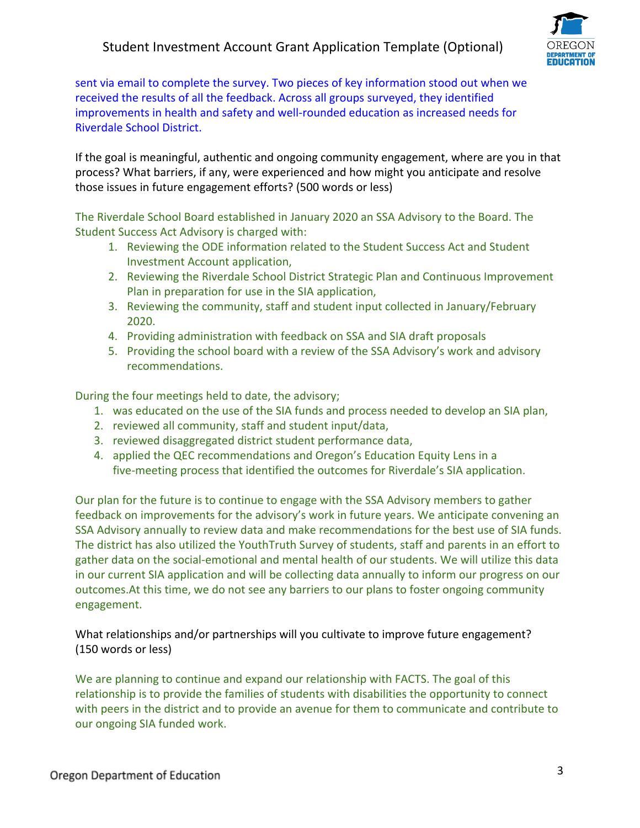

sent via email to complete the survey. Two pieces of key information stood out when we received the results of all the feedback. Across all groups surveyed, they identified improvements in health and safety and well-rounded education as increased needs for Riverdale School District.

If the goal is meaningful, authentic and ongoing community engagement, where are you in that process? What barriers, if any, were experienced and how might you anticipate and resolve those issues in future engagement efforts? (500 words or less)

The Riverdale School Board established in January 2020 an SSA Advisory to the Board. The Student Success Act Advisory is charged with:

- 1. Reviewing the ODE information related to the Student Success Act and Student Investment Account application,
- 2. Reviewing the Riverdale School District Strategic Plan and Continuous Improvement Plan in preparation for use in the SIA application,
- 3. Reviewing the community, staff and student input collected in January/February 2020.
- 4. Providing administration with feedback on SSA and SIA draft proposals
- 5. Providing the school board with a review of the SSA Advisory's work and advisory recommendations.

During the four meetings held to date, the advisory;

- 1. was educated on the use of the SIA funds and process needed to develop an SIA plan,
- 2. reviewed all community, staff and student input/data,
- 3. reviewed disaggregated district student performance data,
- 4. applied the QEC recommendations and Oregon's Education Equity Lens in a five-meeting process that identified the outcomes for Riverdale's SIA application.

Our plan for the future is to continue to engage with the SSA Advisory members to gather feedback on improvements for the advisory's work in future years. We anticipate convening an SSA Advisory annually to review data and make recommendations for the best use of SIA funds. The district has also utilized the YouthTruth Survey of students, staff and parents in an effort to gather data on the social-emotional and mental health of our students. We will utilize this data in our current SIA application and will be collecting data annually to inform our progress on our outcomes.At this time, we do not see any barriers to our plans to foster ongoing community engagement.

What relationships and/or partnerships will you cultivate to improve future engagement? (150 words or less)

We are planning to continue and expand our relationship with FACTS. The goal of this relationship is to provide the families of students with disabilities the opportunity to connect with peers in the district and to provide an avenue for them to communicate and contribute to our ongoing SIA funded work.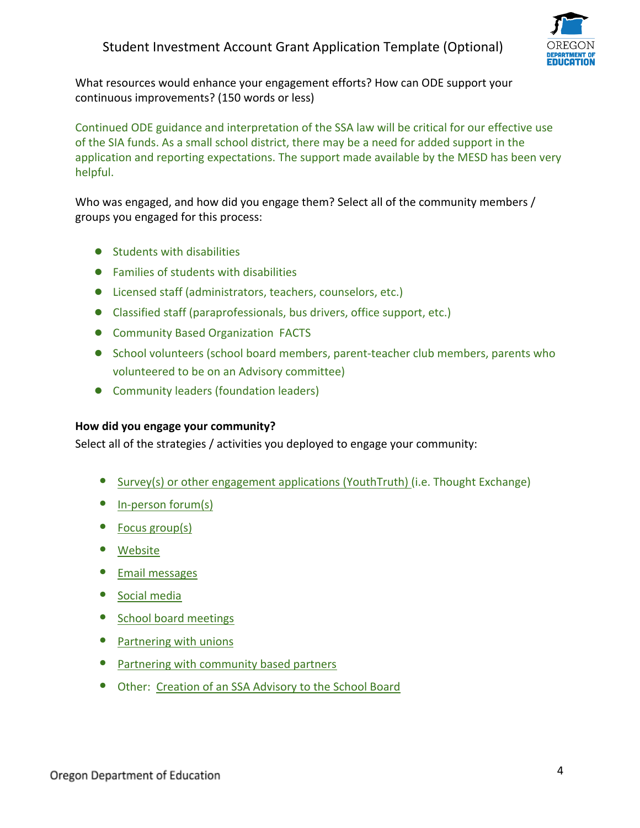

What resources would enhance your engagement efforts? How can ODE support your continuous improvements? (150 words or less)

Continued ODE guidance and interpretation of the SSA law will be critical for our effective use of the SIA funds. As a small school district, there may be a need for added support in the application and reporting expectations. The support made available by the MESD has been very helpful.

Who was engaged, and how did you engage them? Select all of the community members / groups you engaged for this process:

- Students with disabilities
- Families of students with disabilities
- Licensed staff (administrators, teachers, counselors, etc.)
- Classified staff (paraprofessionals, bus drivers, office support, etc.)
- Community Based Organization FACTS
- School volunteers (school board members, parent-teacher club members, parents who volunteered to be on an Advisory committee)
- Community leaders (foundation leaders)

## **How did you engage your community?**

Select all of the strategies / activities you deployed to engage your community:

- Survey(s) or other engagement applications (YouthTruth) (i.e. Thought Exchange)
- In-person forum(s)
- Focus group(s)
- Website
- Email messages
- Social media
- School board meetings
- Partnering with unions
- Partnering with community based partners
- Other: Creation of an SSA Advisory to the School Board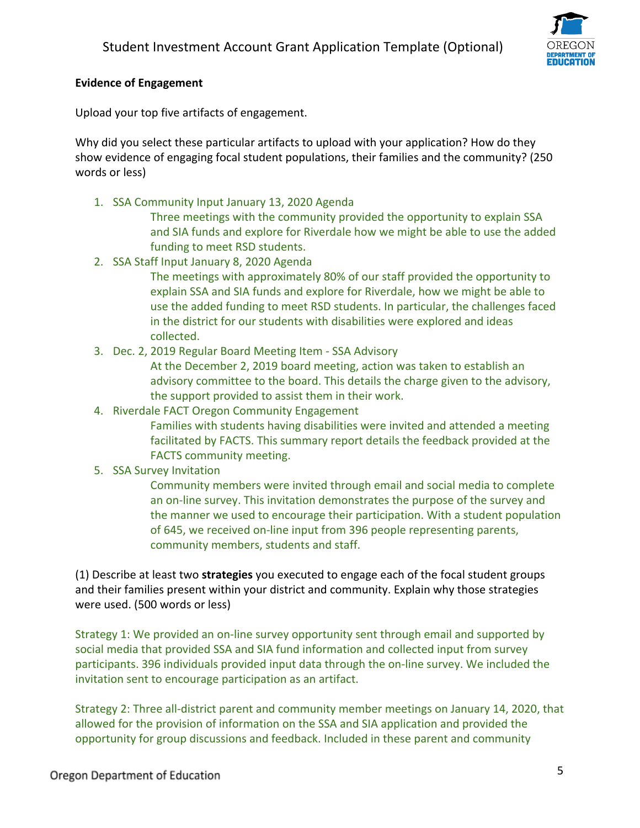

## **Evidence of Engagement**

Upload your top five artifacts of engagement.

Why did you select these particular artifacts to upload with your application? How do they show evidence of engaging focal student populations, their families and the community? (250 words or less)

1. SSA Community Input January 13, 2020 Agenda

Three meetings with the community provided the opportunity to explain SSA and SIA funds and explore for Riverdale how we might be able to use the added funding to meet RSD students.

- 2. SSA Staff Input January 8, 2020 Agenda
	- The meetings with approximately 80% of our staff provided the opportunity to explain SSA and SIA funds and explore for Riverdale, how we might be able to use the added funding to meet RSD students. In particular, the challenges faced in the district for our students with disabilities were explored and ideas collected.
- 3. Dec. 2, 2019 Regular Board Meeting Item SSA Advisory

At the December 2, 2019 board meeting, action was taken to establish an advisory committee to the board. This details the charge given to the advisory, the support provided to assist them in their work.

4. Riverdale FACT Oregon Community Engagement

Families with students having disabilities were invited and attended a meeting facilitated by FACTS. This summary report details the feedback provided at the FACTS community meeting.

5. SSA Survey Invitation

Community members were invited through email and social media to complete an on-line survey. This invitation demonstrates the purpose of the survey and the manner we used to encourage their participation. With a student population of 645, we received on-line input from 396 people representing parents, community members, students and staff.

(1) Describe at least two **strategies** you executed to engage each of the focal student groups and their families present within your district and community. Explain why those strategies were used. (500 words or less)

Strategy 1: We provided an on-line survey opportunity sent through email and supported by social media that provided SSA and SIA fund information and collected input from survey participants. 396 individuals provided input data through the on-line survey. We included the invitation sent to encourage participation as an artifact.

Strategy 2: Three all-district parent and community member meetings on January 14, 2020, that allowed for the provision of information on the SSA and SIA application and provided the opportunity for group discussions and feedback. Included in these parent and community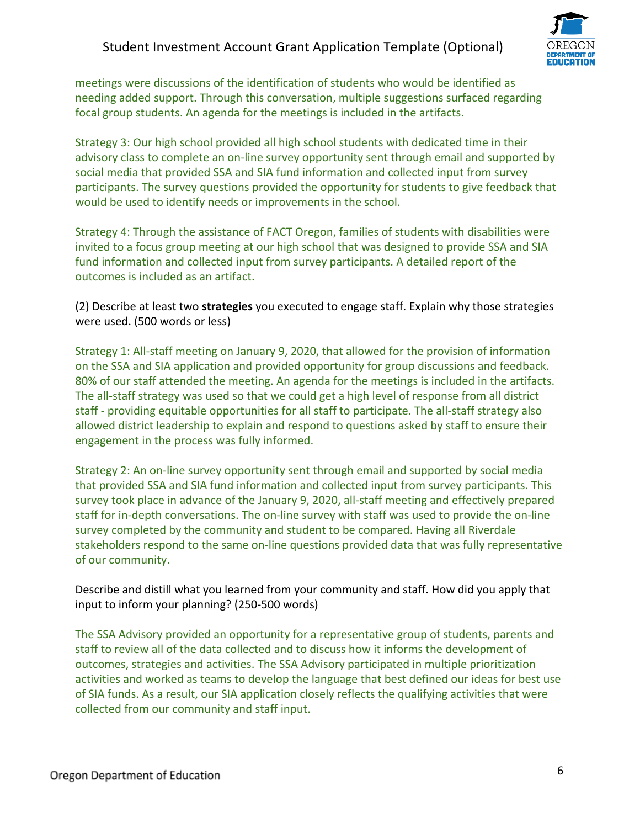

meetings were discussions of the identification of students who would be identified as needing added support. Through this conversation, multiple suggestions surfaced regarding focal group students. An agenda for the meetings is included in the artifacts.

Strategy 3: Our high school provided all high school students with dedicated time in their advisory class to complete an on-line survey opportunity sent through email and supported by social media that provided SSA and SIA fund information and collected input from survey participants. The survey questions provided the opportunity for students to give feedback that would be used to identify needs or improvements in the school.

Strategy 4: Through the assistance of FACT Oregon, families of students with disabilities were invited to a focus group meeting at our high school that was designed to provide SSA and SIA fund information and collected input from survey participants. A detailed report of the outcomes is included as an artifact.

(2) Describe at least two **strategies** you executed to engage staff. Explain why those strategies were used. (500 words or less)

Strategy 1: All-staff meeting on January 9, 2020, that allowed for the provision of information on the SSA and SIA application and provided opportunity for group discussions and feedback. 80% of our staff attended the meeting. An agenda for the meetings is included in the artifacts. The all-staff strategy was used so that we could get a high level of response from all district staff - providing equitable opportunities for all staff to participate. The all-staff strategy also allowed district leadership to explain and respond to questions asked by staff to ensure their engagement in the process was fully informed.

Strategy 2: An on-line survey opportunity sent through email and supported by social media that provided SSA and SIA fund information and collected input from survey participants. This survey took place in advance of the January 9, 2020, all-staff meeting and effectively prepared staff for in-depth conversations. The on-line survey with staff was used to provide the on-line survey completed by the community and student to be compared. Having all Riverdale stakeholders respond to the same on-line questions provided data that was fully representative of our community.

Describe and distill what you learned from your community and staff. How did you apply that input to inform your planning? (250-500 words)

The SSA Advisory provided an opportunity for a representative group of students, parents and staff to review all of the data collected and to discuss how it informs the development of outcomes, strategies and activities. The SSA Advisory participated in multiple prioritization activities and worked as teams to develop the language that best defined our ideas for best use of SIA funds. As a result, our SIA application closely reflects the qualifying activities that were collected from our community and staff input.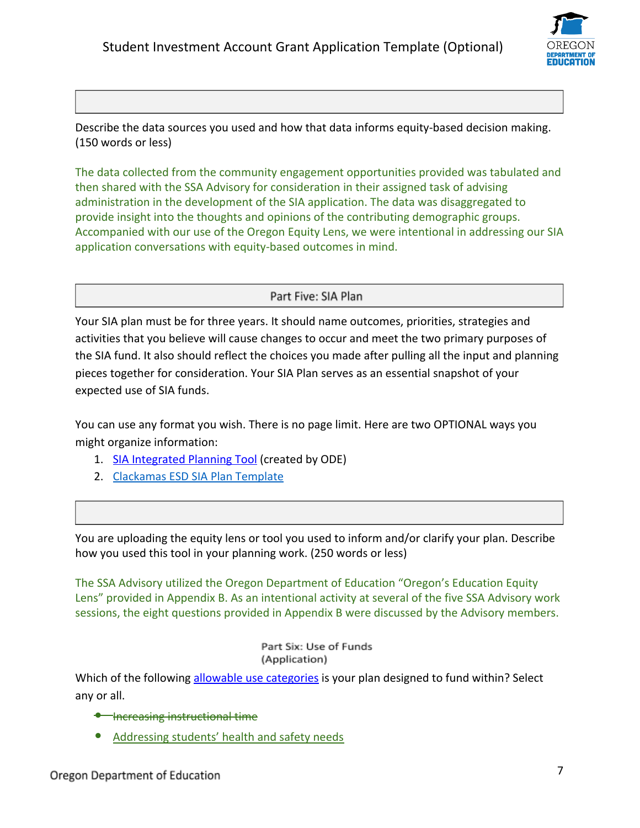

Describe the data sources you used and how that data informs equity-based decision making. (150 words or less)

The data collected from the community engagement opportunities provided was tabulated and then shared with the SSA Advisory for consideration in their assigned task of advising administration in the development of the SIA application. The data was disaggregated to provide insight into the thoughts and opinions of the contributing demographic groups. Accompanied with our use of the Oregon Equity Lens, we were intentional in addressing our SIA application conversations with equity-based outcomes in mind.

Part Five: SIA Plan

Your SIA plan must be for three years. It should name outcomes, priorities, strategies and activities that you believe will cause changes to occur and meet the two primary purposes of the SIA fund. It also should reflect the choices you made after pulling all the input and planning pieces together for consideration. Your SIA Plan serves as an essential snapshot of your expected use of SIA funds.

You can use any format you wish. There is no page limit. Here are two OPTIONAL ways you might organize information:

- 1. [SIA Integrated Planning Tool](https://www.oregon.gov/ode/StudentSuccess/Documents/SIA%20Integrated%20Planning%20Tool.xlsx) (created by ODE)
- 2. [Clackamas ESD SIA Plan Template](https://www.oregon.gov/ode/StudentSuccess/Documents/SIA%20Integrated%20Planning%20Tool.xlsx)

You are uploading the equity lens or tool you used to inform and/or clarify your plan. Describe how you used this tool in your planning work. (250 words or less)

The SSA Advisory utilized the Oregon Department of Education "Oregon's Education Equity Lens" provided in Appendix B. As an intentional activity at several of the five SSA Advisory work sessions, the eight questions provided in Appendix B were discussed by the Advisory members.

> Part Six: Use of Funds (Application)

Which of the following [allowable use categories](https://www.oregon.gov/ode/about-us/Documents/HB%203427%20Student%20Investment%20Account.pdf) is your plan designed to fund within? Select any or all.

- Increasing instructional time
- Addressing students' health and safety needs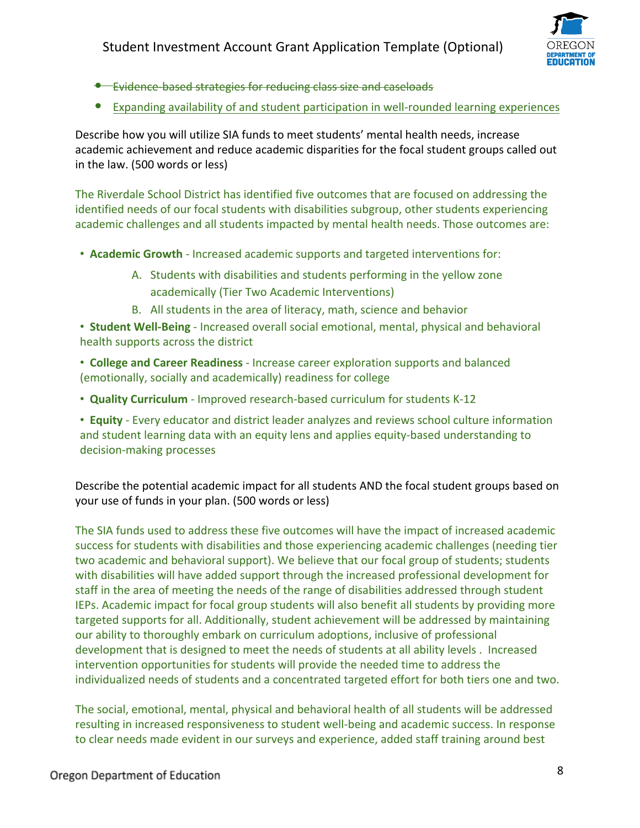

- [Evidence-based strategies](https://www2.ed.gov/policy/elsec/leg/essa/guidanceuseseinvestment.pdf) for reducing class size and caseloads
- Expanding availability of and student participation in well-rounded learning experiences

Describe how you will utilize SIA funds to meet students' mental health needs, increase academic achievement and reduce academic disparities for the focal student groups called out in the law. (500 words or less)

The Riverdale School District has identified five outcomes that are focused on addressing the identified needs of our focal students with disabilities subgroup, other students experiencing academic challenges and all students impacted by mental health needs. Those outcomes are:

- **Academic Growth**  Increased academic supports and targeted interventions for:
	- A. Students with disabilities and students performing in the yellow zone academically (Tier Two Academic Interventions)
	- B. All students in the area of literacy, math, science and behavior

• **Student Well-Being** - Increased overall social emotional, mental, physical and behavioral health supports across the district

• **College and Career Readiness** - Increase career exploration supports and balanced (emotionally, socially and academically) readiness for college

• **Quality Curriculum** - Improved research-based curriculum for students K-12

• **Equity** - Every educator and district leader analyzes and reviews school culture information and student learning data with an equity lens and applies equity-based understanding to decision-making processes

Describe the potential academic impact for all students AND the focal student groups based on your use of funds in your plan. (500 words or less)

The SIA funds used to address these five outcomes will have the impact of increased academic success for students with disabilities and those experiencing academic challenges (needing tier two academic and behavioral support). We believe that our focal group of students; students with disabilities will have added support through the increased professional development for staff in the area of meeting the needs of the range of disabilities addressed through student IEPs. Academic impact for focal group students will also benefit all students by providing more targeted supports for all. Additionally, student achievement will be addressed by maintaining our ability to thoroughly embark on curriculum adoptions, inclusive of professional development that is designed to meet the needs of students at all ability levels . Increased intervention opportunities for students will provide the needed time to address the individualized needs of students and a concentrated targeted effort for both tiers one and two.

The social, emotional, mental, physical and behavioral health of all students will be addressed resulting in increased responsiveness to student well-being and academic success. In response to clear needs made evident in our surveys and experience, added staff training around best